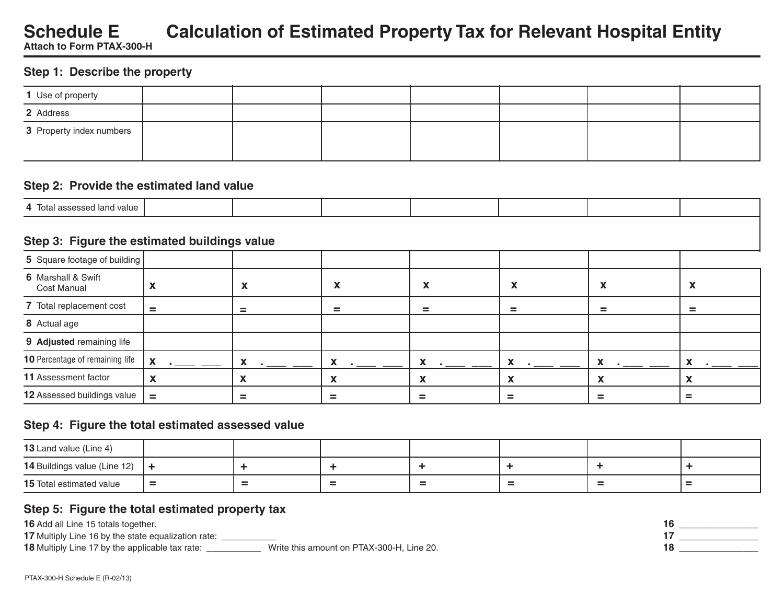# **Schedule E Calculation of Estimated Property Tax for Relevant Hospital Entity Attach to Form PTAX-300-H**

**Step 1: Describe the property**

| 1 Use of property        |  |  |  |  |
|--------------------------|--|--|--|--|
| 2 Address                |  |  |  |  |
| 3 Property index numbers |  |  |  |  |

#### **Step 2: Provide the estimated land value**

| and value<br>$\mathbf{A}$<br>-lotal as<br>או ואהבאה<br>- |  |  |  |  |
|----------------------------------------------------------|--|--|--|--|

### **Step 3: Figure the estimated buildings value**

| 5 Square footage of building             |              |   |                            |                                            |                            |                                            |                                                    |
|------------------------------------------|--------------|---|----------------------------|--------------------------------------------|----------------------------|--------------------------------------------|----------------------------------------------------|
| 6 Marshall & Swift<br><b>Cost Manual</b> |              | A | $\boldsymbol{\mathcal{N}}$ | $\checkmark$<br>$\boldsymbol{\mathcal{L}}$ | $\boldsymbol{\mathcal{N}}$ | $\mathbf{v}$<br>$\boldsymbol{\mathcal{N}}$ | $\tilde{\phantom{a}}$<br>$\boldsymbol{\mathsf{A}}$ |
| 7 Total replacement cost                 | $=$          |   | $=$                        | $=$                                        | $=$                        | $=$                                        | $=$                                                |
| 8 Actual age                             |              |   |                            |                                            |                            |                                            |                                                    |
| 9 Adjusted remaining life                |              |   |                            |                                            |                            |                                            |                                                    |
| <b>10</b> Percentage of remaining life   | $\mathbf{x}$ |   |                            |                                            |                            |                                            |                                                    |
| 11 Assessment factor                     |              |   |                            | X                                          |                            | $\mathbf{u}$                               |                                                    |
| 12 Assessed buildings value              | $=$          |   |                            | $=$                                        |                            | =                                          |                                                    |

# **Step 4: Figure the total estimated assessed value**

| 13 Land value (Line 4)                              |          |        |                          |        |        |                  |        |
|-----------------------------------------------------|----------|--------|--------------------------|--------|--------|------------------|--------|
| <b>14</b> Buildings value (Line 12) $\vert + \vert$ |          |        |                          |        |        |                  |        |
| <b>15</b> Total estimated value                     | $\equiv$ | $\sim$ | $\overline{\phantom{a}}$ | $\sim$ | $\sim$ | $\sim$<br>$\sim$ | $\sim$ |

# **Step 5: Figure the total estimated property tax**

**17** Multiply Line 16 by the state equalization rate: \_\_\_\_\_\_\_\_\_\_\_\_\_

**18** Multiply Line 17 by the applicable tax rate: \_\_\_\_\_\_\_\_\_\_\_\_ Write this amount on PTAX-300-H, Line 20.